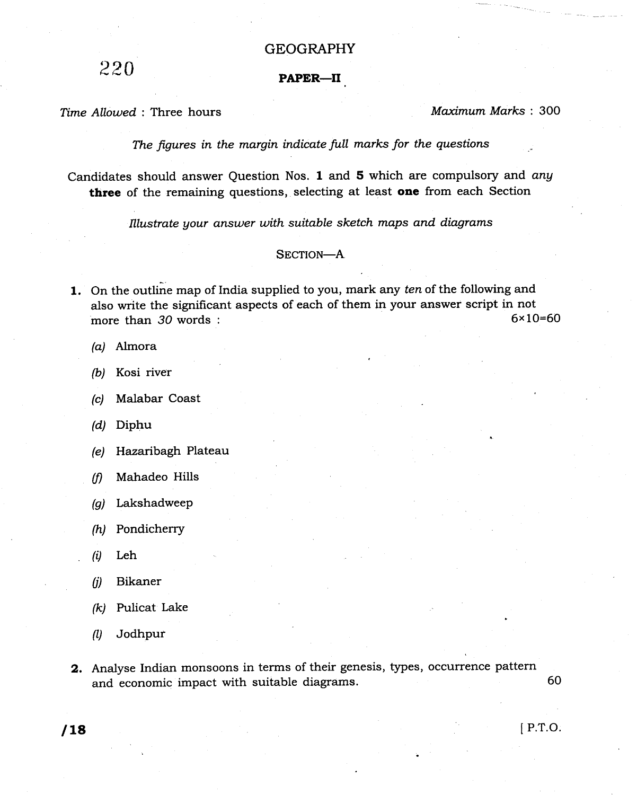## GEOGRAPHY

 $220$  PAPER-II

Time Allowed : Three hours Maximum Marks : 300

The figures in the margin indicate full marks for the questions

Candidates should answer Question Nos. 1 and 5 which are compulsory and any three of the remaining questions, selecting at least one from each Section

Illustrate your answer with suitable sketch maps and diagrams

## SECTION-A

- 1. On the outline map of India supplied to you, mark any ten of the following and also write the significant aspects of each of them in your answer script in not<br>more than  $30$  words:<br> $6 \times 10 = 60$ more than  $30$  words :
	- (a) Almora
	- (b) Kosi river
	- (c) Malabar Coast
	- (d) Diphu
	- (e) Hazaribagh Plateau
	- (fl Mahadeo Hills
	- (g) Lakshadweep
	- (h) Pondicherry
	- $(i)$  Leh
	- (il Bikaner
	- (k) Pulicat Lake
	- A) Jodhpur
- 2. Analyse Indian monsoons in terms of their genesis, types, occurrence pattern and economic impact with suitable diagrams. 60